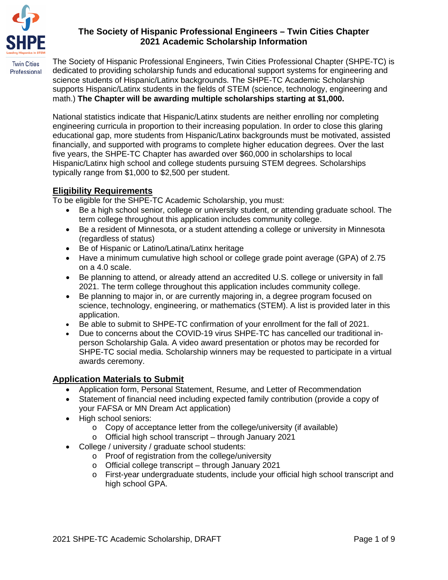

# **The Society of Hispanic Professional Engineers – Twin Cities Chapter 2021 Academic Scholarship Information**

The Society of Hispanic Professional Engineers, Twin Cities Professional Chapter (SHPE-TC) is dedicated to providing scholarship funds and educational support systems for engineering and science students of Hispanic/Latinx backgrounds. The SHPE-TC Academic Scholarship supports Hispanic/Latinx students in the fields of STEM (science, technology, engineering and math.) **The Chapter will be awarding multiple scholarships starting at \$1,000.**

National statistics indicate that Hispanic/Latinx students are neither enrolling nor completing engineering curricula in proportion to their increasing population. In order to close this glaring educational gap, more students from Hispanic/Latinx backgrounds must be motivated, assisted financially, and supported with programs to complete higher education degrees. Over the last five years, the SHPE-TC Chapter has awarded over \$60,000 in scholarships to local Hispanic/Latinx high school and college students pursuing STEM degrees. Scholarships typically range from \$1,000 to \$2,500 per student.

# **Eligibility Requirements**

To be eligible for the SHPE-TC Academic Scholarship, you must:

- Be a high school senior, college or university student, or attending graduate school. The term college throughout this application includes community college.
- Be a resident of Minnesota, or a student attending a college or university in Minnesota (regardless of status)
- Be of Hispanic or Latino/Latina/Latinx heritage
- Have a minimum cumulative high school or college grade point average (GPA) of 2.75 on a 4.0 scale.
- Be planning to attend, or already attend an accredited U.S. college or university in fall 2021. The term college throughout this application includes community college.
- Be planning to major in, or are currently majoring in, a degree program focused on science, technology, engineering, or mathematics (STEM). A list is provided later in this application.
- Be able to submit to SHPE-TC confirmation of your enrollment for the fall of 2021.
- Due to concerns about the COVID-19 virus SHPE-TC has cancelled our traditional inperson Scholarship Gala. A video award presentation or photos may be recorded for SHPE-TC social media. Scholarship winners may be requested to participate in a virtual awards ceremony.

# **Application Materials to Submit**

- Application form, Personal Statement, Resume, and Letter of Recommendation
- Statement of financial need including expected family contribution (provide a copy of your FAFSA or MN Dream Act application)
- High school seniors:
	- o Copy of acceptance letter from the college/university (if available)
	- o Official high school transcript through January 2021
- College / university / graduate school students:
	- o Proof of registration from the college/university
	- o Official college transcript through January 2021
	- o First-year undergraduate students, include your official high school transcript and high school GPA.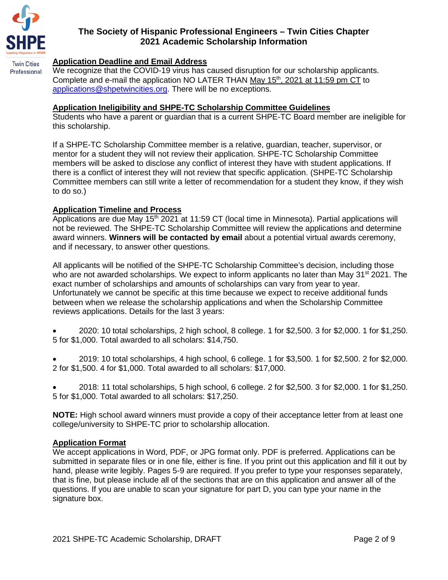

Professional

### **Application Deadline and Email Address**

We recognize that the COVID-19 virus has caused disruption for our scholarship applicants. Complete and e-mail the application NO LATER THAN May  $15<sup>th</sup>$ , 2021 at 11:59 pm CT to applications@shpetwincities.org. There will be no exceptions.

#### **Application Ineligibility and SHPE-TC Scholarship Committee Guidelines**

Students who have a parent or guardian that is a current SHPE-TC Board member are ineligible for this scholarship.

If a SHPE-TC Scholarship Committee member is a relative, guardian, teacher, supervisor, or mentor for a student they will not review their application. SHPE-TC Scholarship Committee members will be asked to disclose any conflict of interest they have with student applications. If there is a conflict of interest they will not review that specific application. (SHPE-TC Scholarship Committee members can still write a letter of recommendation for a student they know, if they wish to do so.)

### **Application Timeline and Process**

Applications are due May 15<sup>th</sup> 2021 at 11:59 CT (local time in Minnesota). Partial applications will not be reviewed. The SHPE-TC Scholarship Committee will review the applications and determine award winners. **Winners will be contacted by email** about a potential virtual awards ceremony, and if necessary, to answer other questions.

All applicants will be notified of the SHPE-TC Scholarship Committee's decision, including those who are not awarded scholarships. We expect to inform applicants no later than May 31<sup>st</sup> 2021. The exact number of scholarships and amounts of scholarships can vary from year to year. Unfortunately we cannot be specific at this time because we expect to receive additional funds between when we release the scholarship applications and when the Scholarship Committee reviews applications. Details for the last 3 years:

- 2020: 10 total scholarships, 2 high school, 8 college. 1 for \$2,500. 3 for \$2,000. 1 for \$1,250. 5 for \$1,000. Total awarded to all scholars: \$14,750.
- 2019: 10 total scholarships, 4 high school, 6 college. 1 for \$3,500. 1 for \$2,500. 2 for \$2,000. 2 for \$1,500. 4 for \$1,000. Total awarded to all scholars: \$17,000.
- 2018: 11 total scholarships, 5 high school, 6 college. 2 for \$2,500. 3 for \$2,000. 1 for \$1,250. 5 for \$1,000. Total awarded to all scholars: \$17,250.

**NOTE:** High school award winners must provide a copy of their acceptance letter from at least one college/university to SHPE-TC prior to scholarship allocation.

#### **Application Format**

We accept applications in Word, PDF, or JPG format only. PDF is preferred. Applications can be submitted in separate files or in one file, either is fine. If you print out this application and fill it out by hand, please write legibly. Pages 5-9 are required. If you prefer to type your responses separately, that is fine, but please include all of the sections that are on this application and answer all of the questions. If you are unable to scan your signature for part D, you can type your name in the signature box.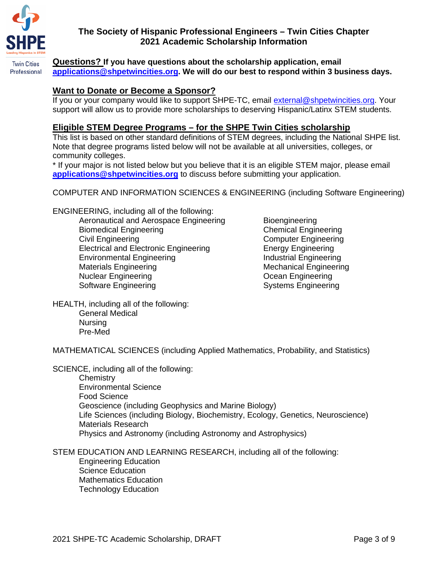

**Twin Cities** 

## **The Society of Hispanic Professional Engineers – Twin Cities Chapter 2021 Academic Scholarship Information**

**Questions? If you have questions about the scholarship application, email applications@shpetwincities.org. We will do our best to respond within 3 business days.** Professional

### **Want to Donate or Become a Sponsor?**

If you or your company would like to support SHPE-TC, email external@shpetwincities.org. Your support will allow us to provide more scholarships to deserving Hispanic/Latinx STEM students.

#### **Eligible STEM Degree Programs – for the SHPE Twin Cities scholarship**

This list is based on other standard definitions of STEM degrees, including the National SHPE list. Note that degree programs listed below will not be available at all universities, colleges, or community colleges.

\* If your major is not listed below but you believe that it is an eligible STEM major, please email **applications@shpetwincities.org** to discuss before submitting your application.

COMPUTER AND INFORMATION SCIENCES & ENGINEERING (including Software Engineering)

ENGINEERING, including all of the following:

Aeronautical and Aerospace Engineering Bioengineering Biomedical Engineering Chemical Engineering Civil Engineering Computer Engineering Electrical and Electronic Engineering Energy Engineering Environmental Engineering **Industrial Engineering** Materials Engineering Mechanical Engineering Nuclear Engineering **Nuclear Engineering** Software Engineering Systems Engineering

HEALTH, including all of the following: General Medical Nursing Pre-Med

MATHEMATICAL SCIENCES (including Applied Mathematics, Probability, and Statistics)

SCIENCE, including all of the following:

**Chemistry** Environmental Science Food Science Geoscience (including Geophysics and Marine Biology) Life Sciences (including Biology, Biochemistry, Ecology, Genetics, Neuroscience) Materials Research Physics and Astronomy (including Astronomy and Astrophysics)

STEM EDUCATION AND LEARNING RESEARCH, including all of the following:

Engineering Education Science Education Mathematics Education Technology Education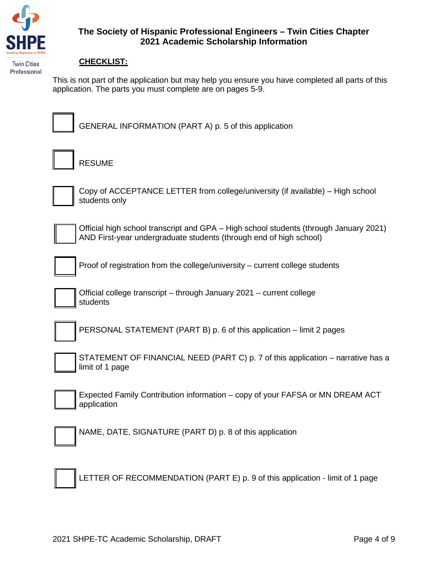

#### **CHECKLIST:**

This is not part of the application but may help you ensure you have completed all parts of this application. The parts you must complete are on pages 5-9.



GENERAL INFORMATION (PART A) p. 5 of this application

RESUME



Copy of ACCEPTANCE LETTER from college/university (if available) – High school students only



Official high school transcript and GPA – High school students (through January 2021) AND First-year undergraduate students (through end of high school)



Proof of registration from the college/university – current college students

Official college transcript – through January 2021 – current college students

PERSONAL STATEMENT (PART B) p. 6 of this application – limit 2 pages

STATEMENT OF FINANCIAL NEED (PART C) p. 7 of this application – narrative has a limit of 1 page

Expected Family Contribution information – copy of your FAFSA or MN DREAM ACT application

NAME, DATE, SIGNATURE (PART D) p. 8 of this application

LETTER OF RECOMMENDATION (PART E) p. 9 of this application - limit of 1 page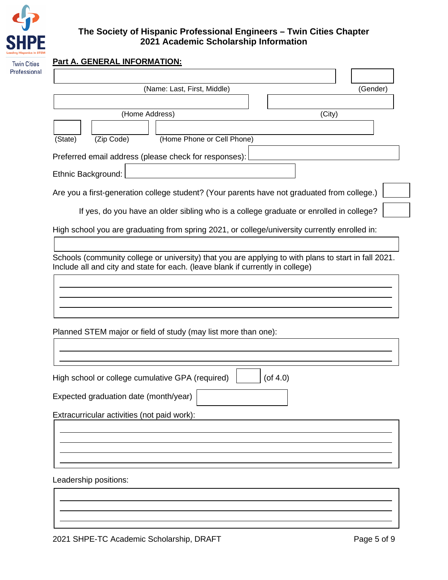

# **The Society of Hispanic Professional Engineers – Twin Cities Chapter 2021 Academic Scholarship Information**

| (Name: Last, First, Middle)<br>(Gender)                                                       |
|-----------------------------------------------------------------------------------------------|
|                                                                                               |
| (Home Address)<br>(City)                                                                      |
|                                                                                               |
| (Zip Code)<br>(State)<br>(Home Phone or Cell Phone)                                           |
| Preferred email address (please check for responses):                                         |
| Ethnic Background:                                                                            |
| Are you a first-generation college student? (Your parents have not graduated from college.)   |
| If yes, do you have an older sibling who is a college graduate or enrolled in college?        |
| High school you are graduating from spring 2021, or college/university currently enrolled in: |
|                                                                                               |
|                                                                                               |
| Planned STEM major or field of study (may list more than one):                                |
|                                                                                               |
| $($ of 4.0)<br>High school or college cumulative GPA (required)                               |
| Expected graduation date (month/year)                                                         |
| Extracurricular activities (not paid work):                                                   |
| Leadership positions:                                                                         |
|                                                                                               |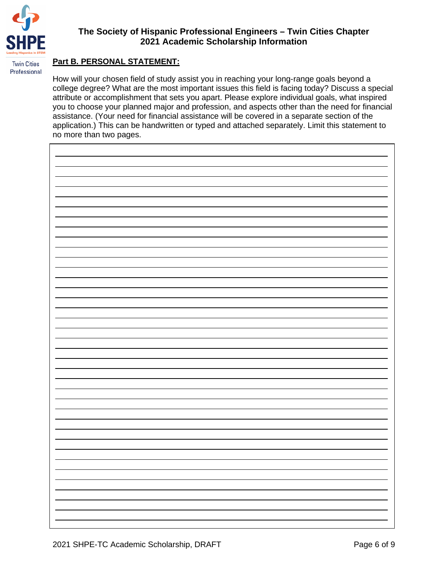

# **The Society of Hispanic Professional Engineers – Twin Cities Chapter 2021 Academic Scholarship Information**

#### **Part B. PERSONAL STATEMENT:**

How will your chosen field of study assist you in reaching your long-range goals beyond a college degree? What are the most important issues this field is facing today? Discuss a special attribute or accomplishment that sets you apart. Please explore individual goals, what inspired you to choose your planned major and profession, and aspects other than the need for financial assistance. (Your need for financial assistance will be covered in a separate section of the application.) This can be handwritten or typed and attached separately. Limit this statement to no more than two pages.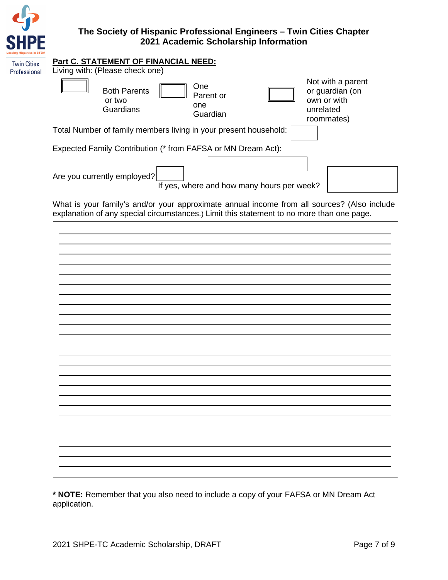

| <b>Twin Cities</b> | <b>Part C. STATEMENT OF FINANCIAL NEED:</b>                                       |                                                                                |
|--------------------|-----------------------------------------------------------------------------------|--------------------------------------------------------------------------------|
| Professional       | Living with: (Please check one)                                                   |                                                                                |
|                    | One<br><b>Both Parents</b><br>Parent or<br>or two<br>one<br>Guardians<br>Guardian | Not with a parent<br>or guardian (on<br>own or with<br>unrelated<br>roommates) |
|                    | Total Number of family members living in your present household:                  |                                                                                |
|                    | Expected Family Contribution (* from FAFSA or MN Dream Act):                      |                                                                                |
|                    | Are you currently employed?<br>If yes, where and how many hours per week?         |                                                                                |

What is your family's and/or your approximate annual income from all sources? (Also include explanation of any special circumstances.) Limit this statement to no more than one page.

**\* NOTE:** Remember that you also need to include a copy of your FAFSA or MN Dream Act application.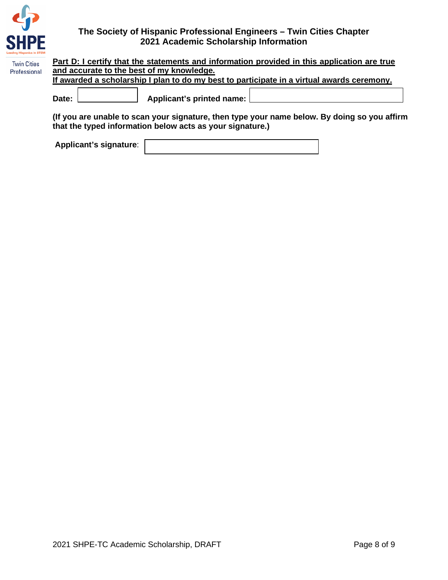

| <b>Twin Cities</b> | Part D: I certify that the statements and information provided in this application are true |  |  |  |  |
|--------------------|---------------------------------------------------------------------------------------------|--|--|--|--|
| Professional       | and accurate to the best of my knowledge.                                                   |  |  |  |  |
|                    | If awarded a scholarship I plan to do my best to participate in a virtual awards ceremony.  |  |  |  |  |
|                    | Applicant's printed name:<br>Date:                                                          |  |  |  |  |

**(If you are unable to scan your signature, then type your name below. By doing so you affirm that the typed information below acts as your signature.)**

**Applicant's signature**: